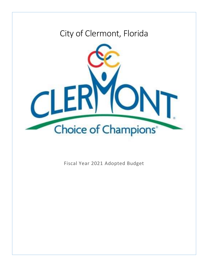# City of Clermont, Florida



Fiscal Year 2021 Adopted Budget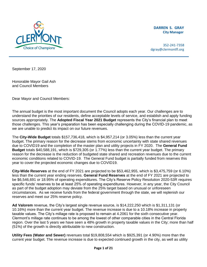

**DARREN S. GRAY City Manager** 

352-241-7358 dgray@clermontfl.org

September 17, 2020

Honorable Mayor Gail Ash and Council Members

Dear Mayor and Council Members:

 The annual budget is the most important document the Council adopts each year. Our challenges are to understand the priorities of our residents, define acceptable levels of service, and establish and apply funding  sources appropriately. The **Adopted Fiscal Year 2021 Budget** represents the City's financial plan to meet those challenges. This year's preparation has been especially challenging during the COVID-19 pandemic, as we are unable to predict its impact on our future revenues.

 The **City-Wide Budget** totals \$157,736,418, which is \$4,957,214 (or 3.05%) less than the current year budget. The primary reason for the decrease stems from economic uncertainty with state shared revenues due to COVID19 and the completion of the master plan and utility projects in FY 2020. The **General Fund Budget** totals \$40,588,191, which is \$729,305 (or 1.77%) less than the current year budget. The primary reason for the decrease is the reduction of budgeted state shared and recreation revenues due to the current economic conditions related to COVID-19. The General Fund budget is partially funded from reserves this year to cover the projected economic changes due to COVID19.

 **City-Wide Reserves** at the end of FY 2021 are projected to be \$53,462,955, which is \$3,475,759 (or 6.10%) less than the current year ending reserves. **General Fund Reserves** at the end of FY 2021 are projected to be \$6,546,691 or 18.95% of operating expenditures. The City's Reserve Policy Resolution 2020-53R requires specific funds' reserves to be at least 25% of operating expenditures. However, in any year, the City Council as part of the budget adoption may deviate from the 25% target based on unusual or unforeseen circumstances. As we receive funds from the federal government through the state, we will replenish our reserves and meet our 25% reserve policy.

 **Ad Valorem** revenue, the City's largest single revenue source, is \$14,222,250 which is \$1,311,131 (or 10.16%) more than the current year budget. The revenue increase is due to a 10.18% increase in property taxable values. The City's millage rate is proposed to remain at 4.2061 for the sixth consecutive year. Clermont's millage rate continues to be among the lowest of other comparable cities in the Central Florida region. Over the last 5 years we have seen a 48% growth in property taxable values in the City; more than half (51%) of the growth is directly attributable to new construction.

 **Utility Fees (Water and Sewer)** revenues total \$19,808,554 which is \$925,391 (or 4.90%) more than the current year budget. The revenue increase is due to expected continued growth in the city, as well as utility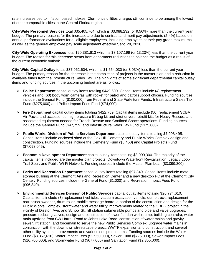rate increases tied to inflation based indexes. Clermont's utilities charges still continue to be among the lowest of other comparable cities in the Central Florida region.

 **City-Wide Personnel Services** total \$35,405,764, which is \$3,088,232 (or 9.56%) more than the current year budget. The primary reasons for the increase are due to contract and merit pay adjustments (2-4%) based on annual performance evaluations for all eligible employees, including employees at their pay grade maximums, as well as the general employee pay scale adjustment effective Sept. 28, 2020.

 **City-Wide Operating Expenses** total \$20,381,613 which is \$3,107,199 (or 13.23%) less than the current year budget. The reason for this decrease stems from department reductions to balance the budget as a result of the current economic outlook.

 **City-Wide Capital Outlay** totals \$37,962,604, which is \$1,554,030 (or 3.93%) less than the current year budget. The primary reason for the decrease is the completion of projects in the master plan and a reduction in available funds from the Infrastructure Sales Tax. The highlights of some significant departmental capital outlay items and funding sources in the upcoming budget are as follows:

- **Police Department** capital outlay items totaling \$449,600. Capital items include (4) replacement vehicles and (60) body worn cameras with rocket for patrol and patrol support officers. Funding sources include the General Fund (\$100,000) from Federal and State Forfeiture Funds, Infrastructure Sales Tax Fund (\$275,600) and Police Impact Fees Fund (\$74,000).
- **Fire Department** capital outlay items totaling \$422,759. Capital items include (50) replacement SCBA Air Packs and accessories, high pressure lift bag kit and strut drivers retrofit kits for Heavy Rescue, and associated equipment needed for Trench Rescue and Confined Space operations. Funding sources include the General Fund (\$47,759) and Infrastructure Sales Tax Fund (\$375,000).
- **Public Works Division of Public Services Department** capital outlay items totaling \$7,098,495. Capital items include enclosed shed at the Oak Hill Cemetery and Public Works Complex design and construction. Funding sources include the Cemetery Fund (\$5,450) and Capital Projects Fund (\$7,093,045).
- **Economic Development Department** capital outlay items totaling \$3,099,300. The majority of the capital items included are the master plan projects: Downtown Waterfront Revitalization, Legacy Loop Trail Spur, and Public Wi-Fi Network. Funding sources include the Master Plan Loan (\$3,099,300).
- **Parks and Recreation Department** capital outlay items totaling \$97,840. Capital items include metal storage building at the Clermont Arts and Recreation Center and a new desktop PC at the Clermont City Center. Funding sources include the General Fund (\$1,000) and Recreation Impact Fees Fund (\$96,840).
- **Environmental Services Division of Public Services** capital outlay items totaling \$26,774,610. Capital items include (3) replacement vehicles, vacuum excavation vehicle, dump truck, replacement rear brush sweeper, drum roller, mobile message board, a portion of the construction and design for the Public Works Complex, stormwater and water utility improvements related to the CDBG project in the vicinity of Disston Ave. and School St., lift station submersible pumps and pipe and valve upgrades, pressure reducing valves, design and construction of lower floridan well (pump, building controls), water main upsizing from CW Harrell Road to Johns Lake Road, construction of water mains and gravity sewer, lift station, and forcemain to serve the new Public Services Complex, upgrade water mains in conjunction with the downtown streetscape project, WWTF expansion and construction, and several other utility system improvements and various equipment items. Funding sources include the Water Fund (\$3,367,610), Water Impact Fees (\$2,950,000), Sewer Fund (\$725,000), Sewer Impact Fees (\$16,700,000), and Stormwater Fund (\$677,000) and Sanitation Fund (\$2,355,000).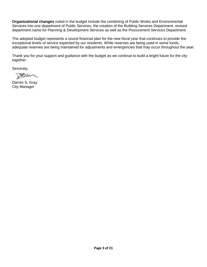**Organizational changes** noted in the budget include the combining of Public Works and Environmental Services into one department of Public Services, the creation of the Building Services Department, revised department name for Planning & Development Services as well as the Procurement Services Department.

 The adopted budget represents a sound financial plan for the new fiscal year that continues to provide the exceptional levels of service expected by our residents. While reserves are being used in some funds, adequate reserves are being maintained for adjustments and emergencies that may occur throughout the year.

 Thank you for your support and guidance with the budget as we continue to build a bright future for the city together.

Sincerely,

 $B\rightarrow\infty$ 

Darren S. Gray City Manager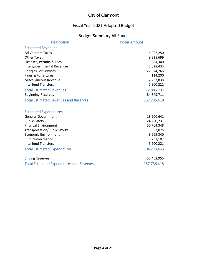# Fiscal Year 2021 Adopted Budget

# Budget Summary All Funds

| <b>Description</b>                               | <b>Dollar Amount</b> |
|--------------------------------------------------|----------------------|
| <b>Estimated Revenues</b>                        |                      |
| <b>Ad Valorem Taxes</b>                          | 14,222,250           |
| <b>Other Taxes</b>                               | 8,328,699            |
| Licenses, Permits & Fees                         | 9,684,300            |
| <b>Intergovernmental Revenues</b>                | 5,028,433            |
| <b>Charges For Services</b>                      | 27,374,766           |
| Fines & Forfeitures                              | 114,200              |
| Miscellaneous Revenue                            | 2,233,838            |
| <b>Interfund Transfers</b>                       | 5,900,221            |
| <b>Total Estimated Revenues</b>                  | 72,886,707           |
| <b>Beginning Reserves</b>                        | 84,849,711           |
| <b>Total Estimated Revenues and Reserves</b>     | 157,736,418          |
|                                                  |                      |
| <b>Estimated Expenditures</b>                    |                      |
| <b>General Government</b>                        | 13,500,641           |
| <b>Public Safety</b>                             | 24,200,231           |
| <b>Physical Environment</b>                      | 50,704,348           |
| <b>Transportation/Public Works</b>               | 3,067,075            |
| <b>Economic Environment</b>                      | 3,669,840            |
| Culture/Recreation                               | 3,231,107            |
| <b>Interfund Transfers</b>                       | 5,900,221            |
| <b>Total Estimated Expenditures</b>              | 104,273,463          |
| <b>Ending Reserves</b>                           | 53,462,955           |
| <b>Total Estimated Expenditures and Reserves</b> | 157,736,418          |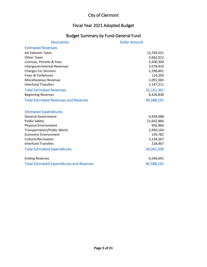#### Fiscal Year 2021 Adopted Budget

# Budget Summary by Fund-General Fund

| <b>Description</b>                               | <b>Dollar Amount</b> |
|--------------------------------------------------|----------------------|
| <b>Estimated Revenues</b>                        |                      |
| <b>Ad Valorem Taxes</b>                          | 13,769,021           |
| <b>Other Taxes</b>                               | 5,662,012            |
| Licenses, Permits & Fees                         | 3,500,300            |
| <b>Intergovernmental Revenues</b>                | 3,578,433            |
| <b>Charges For Services</b>                      | 2,298,801            |
| Fines & Forfeitures                              | 114,200              |
| Miscellaneous Revenue                            | 1,091,383            |
| <b>Interfund Transfers</b>                       | 2,147,211            |
| <b>Total Estimated Revenues</b>                  | 32,161,361           |
| <b>Beginning Reserves</b>                        | 8,426,830            |
| <b>Total Estimated Revenues and Reserves</b>     | 40,588,191           |
|                                                  |                      |
| <b>Estimated Expenditures</b>                    |                      |
| <b>General Government</b>                        | 4,958,988            |
| <b>Public Safety</b>                             | 21,662,866           |
| <b>Physical Environment</b>                      | 956,966              |
| <b>Transportation/Public Works</b>               | 2,950,164            |
| <b>Economic Environment</b>                      | 159,782              |
| Culture/Recreation                               | 3,134,267            |
| <b>Interfund Transfers</b>                       | 218,467              |
| <b>Total Estimated Expenditures</b>              | 34,041,500           |
| <b>Ending Reserves</b>                           | 6,546,691            |
| <b>Total Estimated Expenditures and Reserves</b> | 40,588,191           |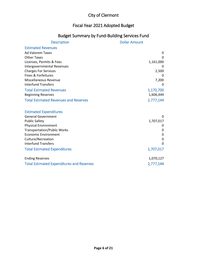#### Fiscal Year 2021 Adopted Budget

# Budget Summary by Fund-Building Services Fund

| <b>Description</b>                                         | <b>Dollar Amount</b> |
|------------------------------------------------------------|----------------------|
| <b>Estimated Revenues</b>                                  |                      |
| <b>Ad Valorem Taxes</b>                                    | 0                    |
| <b>Other Taxes</b>                                         | 0                    |
| Licenses, Permits & Fees                                   | 1,161,000            |
| Intergovernmental Revenues                                 | $\Omega$             |
| <b>Charges For Services</b>                                | 2,500                |
| Fines & Forfeitures                                        |                      |
| Miscellaneous Revenue                                      | 7,200                |
| <b>Interfund Transfers</b>                                 | $\Omega$             |
| <b>Total Estimated Revenues</b>                            | 1,170,700            |
| <b>Beginning Reserves</b>                                  | 1,606,444            |
| <b>Total Estimated Revenues and Reserves</b>               | 2,777,144            |
|                                                            |                      |
| <b>Estimated Expenditures</b><br><b>General Government</b> | $\Omega$             |
| <b>Public Safety</b>                                       | 1,707,017            |
| <b>Physical Environment</b>                                | 0                    |
| <b>Transportation/Public Works</b>                         | 0                    |
| <b>Economic Environment</b>                                | 0                    |
| Culture/Recreation                                         | 0                    |
| <b>Interfund Transfers</b>                                 | $\Omega$             |
| <b>Total Estimated Expenditures</b>                        | 1,707,017            |
| <b>Ending Reserves</b>                                     | 1,070,127            |
| <b>Total Estimated Expenditures and Reserves</b>           | 2,777,144            |
|                                                            |                      |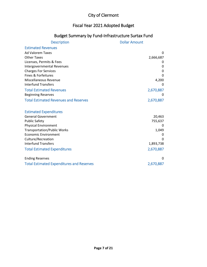# Fiscal Year 2021 Adopted Budget

# Budget Summary by Fund-Infrastructure Surtax Fund

| <b>Description</b>                               | <b>Dollar Amount</b> |
|--------------------------------------------------|----------------------|
| <b>Estimated Revenues</b>                        |                      |
| <b>Ad Valorem Taxes</b>                          | $\Omega$             |
| <b>Other Taxes</b>                               | 2,666,687            |
| Licenses, Permits & Fees                         |                      |
| <b>Intergovernmental Revenues</b>                | 0                    |
| <b>Charges For Services</b>                      | 0                    |
| Fines & Forfeitures                              | O                    |
| Miscellaneous Revenue                            | 4,200                |
| <b>Interfund Transfers</b>                       | 0                    |
| <b>Total Estimated Revenues</b>                  | 2,670,887            |
| <b>Beginning Reserves</b>                        | $\Omega$             |
| <b>Total Estimated Revenues and Reserves</b>     | 2,670,887            |
|                                                  |                      |
| <b>Estimated Expenditures</b>                    |                      |
| <b>General Government</b>                        | 20,463               |
| <b>Public Safety</b>                             | 755,637              |
| <b>Physical Environment</b>                      | $\Omega$             |
| <b>Transportation/Public Works</b>               | 1,049                |
| <b>Economic Environment</b>                      | 0                    |
| Culture/Recreation                               | $\Omega$             |
| <b>Interfund Transfers</b>                       | 1,893,738            |
| <b>Total Estimated Expenditures</b>              | 2,670,887            |
| <b>Ending Reserves</b>                           | 0                    |
| <b>Total Estimated Expenditures and Reserves</b> | 2,670,887            |
|                                                  |                      |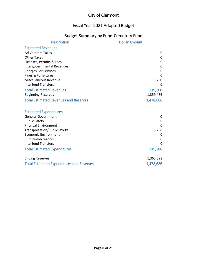#### Fiscal Year 2021 Adopted Budget

# Budget Summary by Fund-Cemetery Fund

| <b>Description</b>                               | <b>Dollar Amount</b> |
|--------------------------------------------------|----------------------|
| <b>Estimated Revenues</b>                        |                      |
| <b>Ad Valorem Taxes</b>                          | 0                    |
| <b>Other Taxes</b>                               | 0                    |
| Licenses, Permits & Fees                         | 0                    |
| Intergovernmental Revenues                       | 0                    |
| <b>Charges For Services</b>                      | 0                    |
| Fines & Forfeitures                              | $\Omega$             |
| Miscellaneous Revenue                            | 119,200              |
| <b>Interfund Transfers</b>                       | 0                    |
| <b>Total Estimated Revenues</b>                  | 119,200              |
| <b>Beginning Reserves</b>                        | 1,359,486            |
| <b>Total Estimated Revenues and Reserves</b>     | 1,478,686            |
|                                                  |                      |
| <b>Estimated Expenditures</b>                    |                      |
| <b>General Government</b>                        | 0                    |
| <b>Public Safety</b>                             | 0                    |
| <b>Physical Environment</b>                      | $\Omega$             |
| <b>Transportation/Public Works</b>               | 115,288              |
| <b>Economic Environment</b>                      | 0                    |
| Culture/Recreation                               | 0                    |
| <b>Interfund Transfers</b>                       | $\Omega$             |
| <b>Total Estimated Expenditures</b>              | 115,288              |
| <b>Ending Reserves</b>                           | 1,363,398            |
| <b>Total Estimated Expenditures and Reserves</b> | 1,478,686            |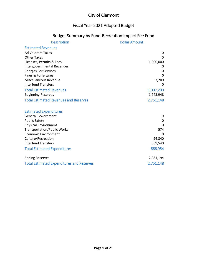## Fiscal Year 2021 Adopted Budget

#### Budget Summary by Fund-Recreation Impact Fee Fund

| <b>Description</b>                                  | <b>Dollar Amount</b> |
|-----------------------------------------------------|----------------------|
| <b>Estimated Revenues</b>                           |                      |
| <b>Ad Valorem Taxes</b>                             | 0                    |
| <b>Other Taxes</b>                                  | 0                    |
| Licenses, Permits & Fees                            | 1,000,000            |
| Intergovernmental Revenues                          | O                    |
| <b>Charges For Services</b>                         | 0                    |
| Fines & Forfeitures                                 | 0                    |
| Miscellaneous Revenue                               | 7,200                |
| <b>Interfund Transfers</b>                          | 0                    |
| <b>Total Estimated Revenues</b>                     | 1,007,200            |
| <b>Beginning Reserves</b>                           | 1,743,948            |
| <b>Total Estimated Revenues and Reserves</b>        | 2,751,148            |
|                                                     |                      |
| <b>Estimated Expenditures</b>                       |                      |
| <b>General Government</b>                           | 0<br>0               |
| <b>Public Safety</b><br><b>Physical Environment</b> | 0                    |
| <b>Transportation/Public Works</b>                  | 574                  |
| <b>Economic Environment</b>                         | $\Omega$             |
| Culture/Recreation                                  | 96,840               |
| <b>Interfund Transfers</b>                          | 569,540              |
| <b>Total Estimated Expenditures</b>                 | 666,954              |
|                                                     |                      |
| <b>Ending Reserves</b>                              | 2,084,194            |
| <b>Total Estimated Expenditures and Reserves</b>    | 2,751,148            |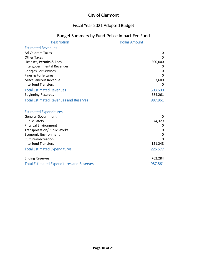#### Fiscal Year 2021 Adopted Budget

## Budget Summary by Fund-Police Impact Fee Fund

| <b>Description</b>                               | <b>Dollar Amount</b> |
|--------------------------------------------------|----------------------|
| <b>Estimated Revenues</b>                        |                      |
| <b>Ad Valorem Taxes</b>                          | 0                    |
| <b>Other Taxes</b>                               | $\Omega$             |
| Licenses, Permits & Fees                         | 300,000              |
| Intergovernmental Revenues                       | 0                    |
| <b>Charges For Services</b>                      | 0                    |
| Fines & Forfeitures                              | 0                    |
| Miscellaneous Revenue                            | 3,600                |
| <b>Interfund Transfers</b>                       | 0                    |
| <b>Total Estimated Revenues</b>                  | 303,600              |
| <b>Beginning Reserves</b>                        | 684,261              |
| <b>Total Estimated Revenues and Reserves</b>     | 987,861              |
|                                                  |                      |
| <b>Estimated Expenditures</b>                    |                      |
| <b>General Government</b>                        | $\Omega$             |
| <b>Public Safety</b>                             | 74,329               |
| <b>Physical Environment</b>                      | 0                    |
| <b>Transportation/Public Works</b>               | 0                    |
| <b>Economic Environment</b>                      | $\mathbf 0$          |
| Culture/Recreation                               | $\Omega$             |
| <b>Interfund Transfers</b>                       | 151,248              |
| <b>Total Estimated Expenditures</b>              | 225 577              |
| <b>Ending Reserves</b>                           | 762,284              |
| <b>Total Estimated Expenditures and Reserves</b> | 987,861              |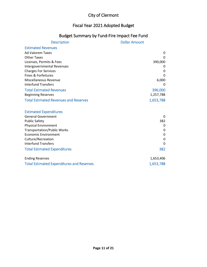#### Fiscal Year 2021 Adopted Budget

## Budget Summary by Fund-Fire Impact Fee Fund

| <b>Description</b>                               | <b>Dollar Amount</b> |
|--------------------------------------------------|----------------------|
| <b>Estimated Revenues</b>                        |                      |
| <b>Ad Valorem Taxes</b>                          | 0                    |
| <b>Other Taxes</b>                               | $\Omega$             |
| Licenses, Permits & Fees                         | 390,000              |
| Intergovernmental Revenues                       | 0                    |
| <b>Charges For Services</b>                      | 0                    |
| Fines & Forfeitures                              | $\Omega$             |
| Miscellaneous Revenue                            | 6,000                |
| <b>Interfund Transfers</b>                       | 0                    |
| <b>Total Estimated Revenues</b>                  | 396,000              |
| <b>Beginning Reserves</b>                        | 1,257,788            |
| <b>Total Estimated Revenues and Reserves</b>     | 1,653,788            |
|                                                  |                      |
| <b>Estimated Expenditures</b>                    |                      |
| <b>General Government</b>                        | 0                    |
| <b>Public Safety</b>                             | 382                  |
| <b>Physical Environment</b>                      | 0                    |
| <b>Transportation/Public Works</b>               | 0                    |
| <b>Economic Environment</b>                      | 0                    |
| Culture/Recreation                               | 0                    |
| <b>Interfund Transfers</b>                       | 0                    |
| <b>Total Estimated Expenditures</b>              | 382                  |
| <b>Ending Reserves</b>                           | 1,653,406            |
| <b>Total Estimated Expenditures and Reserves</b> | 1,653,788            |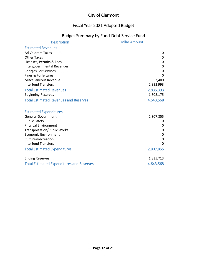#### Fiscal Year 2021 Adopted Budget

## Budget Summary by Fund-Debt Service Fund

| <b>Description</b>                               | <b>Dollar Amount</b> |
|--------------------------------------------------|----------------------|
| <b>Estimated Revenues</b>                        |                      |
| <b>Ad Valorem Taxes</b>                          | 0                    |
| <b>Other Taxes</b>                               | 0                    |
| Licenses, Permits & Fees                         | 0                    |
| <b>Intergovernmental Revenues</b>                | 0                    |
| <b>Charges For Services</b>                      | 0                    |
| Fines & Forfeitures                              | 0                    |
| Miscellaneous Revenue                            | 2,400                |
| <b>Interfund Transfers</b>                       | 2,832,993            |
| <b>Total Estimated Revenues</b>                  | 2,835,393            |
| <b>Beginning Reserves</b>                        | 1,808,175            |
| <b>Total Estimated Revenues and Reserves</b>     | 4,643,568            |
|                                                  |                      |
| <b>Estimated Expenditures</b>                    |                      |
| <b>General Government</b>                        | 2,807,855            |
| <b>Public Safety</b>                             | 0                    |
| <b>Physical Environment</b>                      | 0                    |
| <b>Transportation/Public Works</b>               | 0                    |
| <b>Economic Environment</b>                      | 0                    |
| Culture/Recreation                               | 0                    |
| <b>Interfund Transfers</b>                       | $\Omega$             |
| <b>Total Estimated Expenditures</b>              | 2,807,855            |
| <b>Ending Reserves</b>                           | 1,835,713            |
| <b>Total Estimated Expenditures and Reserves</b> | 4,643,568            |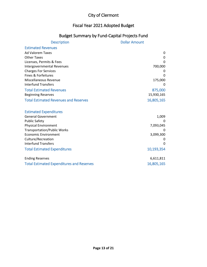#### Fiscal Year 2021 Adopted Budget

#### Budget Summary by Fund-Capital Projects Fund

| <b>Description</b>                               | <b>Dollar Amount</b> |
|--------------------------------------------------|----------------------|
| <b>Estimated Revenues</b>                        |                      |
| <b>Ad Valorem Taxes</b>                          | 0                    |
| <b>Other Taxes</b>                               | 0                    |
| Licenses, Permits & Fees                         | $\Omega$             |
| Intergovernmental Revenues                       | 700,000              |
| <b>Charges For Services</b>                      | 0                    |
| Fines & Forfeitures                              | 0                    |
| Miscellaneous Revenue                            | 175,000              |
| <b>Interfund Transfers</b>                       | 0                    |
| <b>Total Estimated Revenues</b>                  | 875,000              |
| <b>Beginning Reserves</b>                        | 15,930,165           |
| <b>Total Estimated Revenues and Reserves</b>     | 16,805,165           |
|                                                  |                      |
| <b>Estimated Expenditures</b>                    |                      |
| <b>General Government</b>                        | 1,009                |
| <b>Public Safety</b>                             | $\Omega$             |
| <b>Physical Environment</b>                      | 7,093,045            |
| <b>Transportation/Public Works</b>               |                      |
| <b>Economic Environment</b>                      | 3,099,300            |
| Culture/Recreation                               | 0                    |
| <b>Interfund Transfers</b>                       | 0                    |
| <b>Total Estimated Expenditures</b>              | 10,193,354           |
| <b>Ending Reserves</b>                           | 6,611,811            |
| <b>Total Estimated Expenditures and Reserves</b> | 16,805,165           |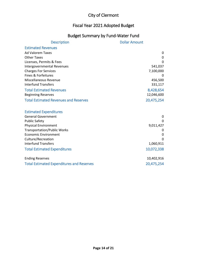#### Fiscal Year 2021 Adopted Budget

# Budget Summary by Fund-Water Fund

| <b>Description</b>                               | <b>Dollar Amount</b> |
|--------------------------------------------------|----------------------|
| <b>Estimated Revenues</b>                        |                      |
| <b>Ad Valorem Taxes</b>                          | 0                    |
| <b>Other Taxes</b>                               | 0                    |
| Licenses, Permits & Fees                         | $\Omega$             |
| <b>Intergovernmental Revenues</b>                | 541,037              |
| <b>Charges For Services</b>                      | 7,100,000            |
| Fines & Forfeitures                              | 0                    |
| <b>Miscellaneous Revenue</b>                     | 456,500              |
| <b>Interfund Transfers</b>                       | 331,117              |
| <b>Total Estimated Revenues</b>                  | 8,428,654            |
| <b>Beginning Reserves</b>                        | 12,046,600           |
| <b>Total Estimated Revenues and Reserves</b>     | 20,475,254           |
|                                                  |                      |
| <b>Estimated Expenditures</b>                    |                      |
| <b>General Government</b>                        | 0                    |
| <b>Public Safety</b>                             | 0                    |
| <b>Physical Environment</b>                      | 9,011,427            |
| <b>Transportation/Public Works</b>               | 0                    |
| <b>Economic Environment</b>                      | 0                    |
| Culture/Recreation                               | n                    |
| <b>Interfund Transfers</b>                       | 1,060,911            |
| <b>Total Estimated Expenditures</b>              | 10,072,338           |
| <b>Ending Reserves</b>                           | 10,402,916           |
| <b>Total Estimated Expenditures and Reserves</b> | 20,475,254           |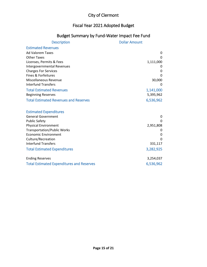#### Fiscal Year 2021 Adopted Budget

# Budget Summary by Fund-Water Impact Fee Fund

| <b>Description</b>                               | <b>Dollar Amount</b> |
|--------------------------------------------------|----------------------|
| <b>Estimated Revenues</b>                        |                      |
| <b>Ad Valorem Taxes</b>                          | 0                    |
| <b>Other Taxes</b>                               | $\Omega$             |
| Licenses, Permits & Fees                         | 1,111,000            |
| <b>Intergovernmental Revenues</b>                | 0                    |
| <b>Charges For Services</b>                      | 0                    |
| Fines & Forfeitures                              | O                    |
| Miscellaneous Revenue                            | 30,000               |
| <b>Interfund Transfers</b>                       | 0                    |
| <b>Total Estimated Revenues</b>                  | 1,141,000            |
| <b>Beginning Reserves</b>                        | 5,395,962            |
| <b>Total Estimated Revenues and Reserves</b>     | 6,536,962            |
|                                                  |                      |
| <b>Estimated Expenditures</b>                    |                      |
| <b>General Government</b>                        | 0                    |
| <b>Public Safety</b>                             | $\Omega$             |
| <b>Physical Environment</b>                      | 2,951,808            |
| <b>Transportation/Public Works</b>               |                      |
| <b>Economic Environment</b>                      | 0                    |
| Culture/Recreation                               | $\Omega$             |
| <b>Interfund Transfers</b>                       | 331,117              |
| <b>Total Estimated Expenditures</b>              | 3,282,925            |
| <b>Ending Reserves</b>                           | 3,254,037            |
| <b>Total Estimated Expenditures and Reserves</b> | 6,536,962            |
|                                                  |                      |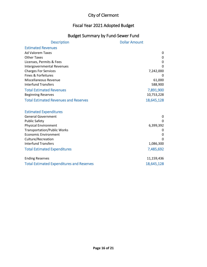#### Fiscal Year 2021 Adopted Budget

# Budget Summary by Fund-Sewer Fund

| <b>Description</b>                               | <b>Dollar Amount</b> |
|--------------------------------------------------|----------------------|
| <b>Estimated Revenues</b>                        |                      |
| <b>Ad Valorem Taxes</b>                          | 0                    |
| <b>Other Taxes</b>                               | 0                    |
| Licenses, Permits & Fees                         | $\mathbf 0$          |
| Intergovernmental Revenues                       | $\Omega$             |
| <b>Charges For Services</b>                      | 7,242,000            |
| Fines & Forfeitures                              | $\Omega$             |
| Miscellaneous Revenue                            | 61,000               |
| <b>Interfund Transfers</b>                       | 588,900              |
| <b>Total Estimated Revenues</b>                  | 7,891,900            |
| <b>Beginning Reserves</b>                        | 10,753,228           |
| <b>Total Estimated Revenues and Reserves</b>     | 18,645,128           |
|                                                  |                      |
| <b>Estimated Expenditures</b>                    |                      |
| <b>General Government</b>                        | 0                    |
| <b>Public Safety</b>                             | $\Omega$             |
| <b>Physical Environment</b>                      | 6,399,392            |
| <b>Transportation/Public Works</b>               | 0                    |
| <b>Economic Environment</b>                      | 0                    |
| Culture/Recreation                               |                      |
| <b>Interfund Transfers</b>                       | 1,086,300            |
| <b>Total Estimated Expenditures</b>              | 7,485,692            |
| <b>Ending Reserves</b>                           | 11,159,436           |
| <b>Total Estimated Expenditures and Reserves</b> | 18,645,128           |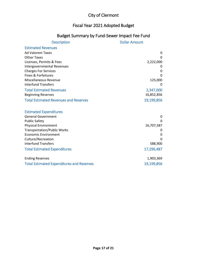#### Fiscal Year 2021 Adopted Budget

## Budget Summary by Fund-Sewer Impact Fee Fund

| <b>Description</b>                               | <b>Dollar Amount</b> |
|--------------------------------------------------|----------------------|
| <b>Estimated Revenues</b>                        |                      |
| <b>Ad Valorem Taxes</b>                          | 0                    |
| <b>Other Taxes</b>                               | $\Omega$             |
| Licenses, Permits & Fees                         | 2,222,000            |
| Intergovernmental Revenues                       | 0                    |
| <b>Charges For Services</b>                      | 0                    |
| Fines & Forfeitures                              | O                    |
| <b>Miscellaneous Revenue</b>                     | 125,000              |
| <b>Interfund Transfers</b>                       | 0                    |
| <b>Total Estimated Revenues</b>                  | 2,347,000            |
| <b>Beginning Reserves</b>                        | 16,852,856           |
| <b>Total Estimated Revenues and Reserves</b>     | 19,199,856           |
|                                                  |                      |
| <b>Estimated Expenditures</b>                    |                      |
| <b>General Government</b>                        | 0                    |
| <b>Public Safety</b>                             | $\Omega$             |
| <b>Physical Environment</b>                      | 16,707,587           |
| <b>Transportation/Public Works</b>               |                      |
| <b>Economic Environment</b>                      | 0                    |
| Culture/Recreation                               | $\Omega$             |
| <b>Interfund Transfers</b>                       | 588,900              |
| <b>Total Estimated Expenditures</b>              | 17,296,487           |
| <b>Ending Reserves</b>                           | 1,903,369            |
| <b>Total Estimated Expenditures and Reserves</b> | 19,199,856           |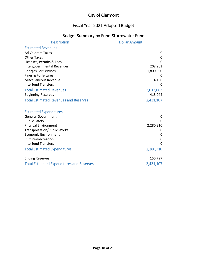#### Fiscal Year 2021 Adopted Budget

#### Budget Summary by Fund-Stormwater Fund

| <b>Description</b>                               | <b>Dollar Amount</b> |
|--------------------------------------------------|----------------------|
| <b>Estimated Revenues</b>                        |                      |
| <b>Ad Valorem Taxes</b>                          | 0                    |
| <b>Other Taxes</b>                               | 0                    |
| Licenses, Permits & Fees                         | $\Omega$             |
| Intergovernmental Revenues                       | 208,963              |
| <b>Charges For Services</b>                      | 1,800,000            |
| Fines & Forfeitures                              |                      |
| <b>Miscellaneous Revenue</b>                     | 4,100                |
| <b>Interfund Transfers</b>                       | 0                    |
| <b>Total Estimated Revenues</b>                  | 2,013,063            |
| <b>Beginning Reserves</b>                        | 418,044              |
| <b>Total Estimated Revenues and Reserves</b>     | 2,431,107            |
|                                                  |                      |
| <b>Estimated Expenditures</b>                    |                      |
| <b>General Government</b>                        | 0                    |
| <b>Public Safety</b>                             | $\Omega$             |
| <b>Physical Environment</b>                      | 2,280,310            |
| <b>Transportation/Public Works</b>               | O                    |
| <b>Economic Environment</b>                      | 0                    |
| Culture/Recreation                               | 0                    |
| <b>Interfund Transfers</b>                       | $\Omega$             |
| <b>Total Estimated Expenditures</b>              | 2,280,310            |
| <b>Ending Reserves</b>                           | 150,797              |
| <b>Total Estimated Expenditures and Reserves</b> | 2,431,107            |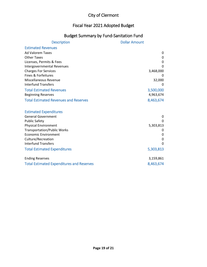#### Fiscal Year 2021 Adopted Budget

# Budget Summary by Fund-Sanitation Fund

| <b>Description</b>                                  | <b>Dollar Amount</b> |
|-----------------------------------------------------|----------------------|
| <b>Estimated Revenues</b>                           |                      |
| <b>Ad Valorem Taxes</b>                             | 0                    |
| <b>Other Taxes</b>                                  | 0                    |
| Licenses, Permits & Fees                            | $\mathbf 0$          |
| <b>Intergovernmental Revenues</b>                   | $\Omega$             |
| <b>Charges For Services</b>                         | 3,468,000            |
| Fines & Forfeitures                                 | O                    |
| Miscellaneous Revenue<br><b>Interfund Transfers</b> | 32,000               |
|                                                     |                      |
| <b>Total Estimated Revenues</b>                     | 3,500,000            |
| <b>Beginning Reserves</b>                           | 4,963,674            |
| <b>Total Estimated Revenues and Reserves</b>        | 8,463,674            |
|                                                     |                      |
| <b>Estimated Expenditures</b>                       |                      |
| <b>General Government</b>                           | 0                    |
| <b>Public Safety</b>                                | $\Omega$             |
| <b>Physical Environment</b>                         | 5,303,813            |
| <b>Transportation/Public Works</b>                  | 0                    |
| <b>Economic Environment</b>                         | 0                    |
| Culture/Recreation                                  | 0                    |
| <b>Interfund Transfers</b>                          | $\Omega$             |
| <b>Total Estimated Expenditures</b>                 | 5,303,813            |
| <b>Ending Reserves</b>                              | 3,159,861            |
| <b>Total Estimated Expenditures and Reserves</b>    | 8,463,674            |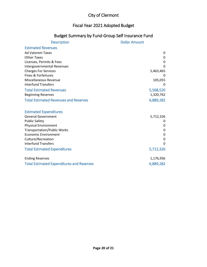## Fiscal Year 2021 Adopted Budget

# Budget Summary by Fund-Group Self Insurance Fund

| <b>Description</b>                               | <b>Dollar Amount</b> |
|--------------------------------------------------|----------------------|
| <b>Estimated Revenues</b>                        |                      |
| <b>Ad Valorem Taxes</b>                          | 0                    |
| <b>Other Taxes</b>                               | 0                    |
| Licenses, Permits & Fees                         | 0                    |
| Intergovernmental Revenues                       | $\Omega$             |
| <b>Charges For Services</b>                      | 5,463,465            |
| Fines & Forfeitures                              |                      |
| Miscellaneous Revenue                            | 105,055              |
| <b>Interfund Transfers</b>                       | $\Omega$             |
| <b>Total Estimated Revenues</b>                  | 5,568,520            |
| <b>Beginning Reserves</b>                        | 1,320,762            |
| <b>Total Estimated Revenues and Reserves</b>     | 6,889,282            |
|                                                  |                      |
| <b>Estimated Expenditures</b>                    |                      |
| <b>General Government</b>                        | 5,712,326            |
| <b>Public Safety</b>                             | 0                    |
| <b>Physical Environment</b>                      | 0                    |
| <b>Transportation/Public Works</b>               | 0                    |
| <b>Economic Environment</b>                      | 0                    |
| Culture/Recreation                               | 0                    |
| <b>Interfund Transfers</b>                       | 0                    |
| <b>Total Estimated Expenditures</b>              | 5,712,326            |
| <b>Ending Reserves</b>                           | 1,176,956            |
| <b>Total Estimated Expenditures and Reserves</b> | 6,889,282            |